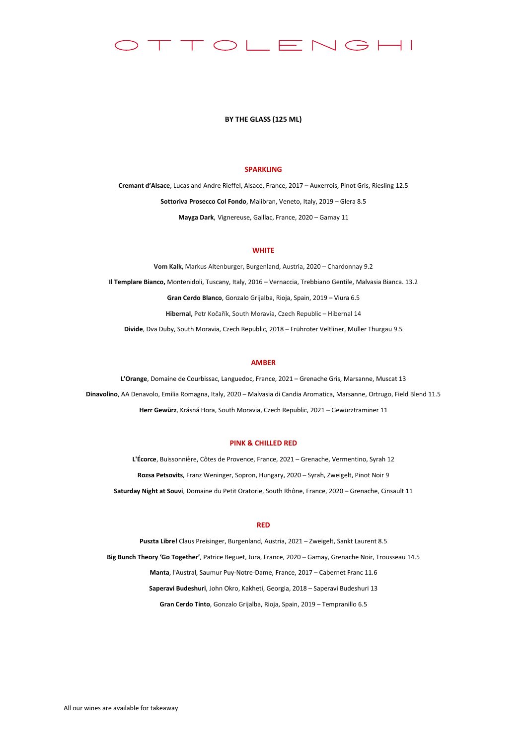#### $\supset$   $\Box$  F  $\equiv \bigwedge \bigoplus \leftarrow \sqcup$

### **BY THE GLASS (125 ML)**

# **SPARKLING**

**Cremant d'Alsace**, Lucas and Andre Rieffel, Alsace, France, 2017 – Auxerrois, Pinot Gris, Riesling 12.5 **Sottoriva Prosecco Col Fondo**, Malibran, Veneto, Italy, 2019 – Glera 8.5 **Mayga Dark**, Vignereuse, Gaillac, France, 2020 – Gamay 11

# **WHITE**

**Vom Kalk,** Markus Altenburger, Burgenland, Austria, 2020 – Chardonnay 9.2 **Il Templare Bianco,** Montenidoli, Tuscany, Italy, 2016 – Vernaccia, Trebbiano Gentile, Malvasia Bianca. 13.2 **Gran Cerdo Blanco**, Gonzalo Grijalba, Rioja, Spain, 2019 – Viura 6.5 **Hibernal,** Petr Kočařík, South Moravia, Czech Republic – Hibernal 14 **Divide**, Dva Duby, South Moravia, Czech Republic, 2018 – Frühroter Veltliner, Müller Thurgau 9.5

# **AMBER**

**L'Orange**, Domaine de Courbissac, Languedoc, France, 2021 – Grenache Gris, Marsanne, Muscat 13 **Dinavolino**, AA Denavolo, Emilia Romagna, Italy, 2020 – Malvasia di Candia Aromatica, Marsanne, Ortrugo, Field Blend 11.5 **Herr Gewürz**, Krásná Hora, South Moravia, Czech Republic, 2021 – Gewürztraminer 11

# **PINK & CHILLED RED**

**L'Écorce**, Buissonnière, Côtes de Provence, France, 2021 – Grenache, Vermentino, Syrah 12 **Rozsa Petsovits**, Franz Weninger, Sopron, Hungary, 2020 – Syrah, Zweigelt, Pinot Noir 9 **Saturday Night at Souvi**, Domaine du Petit Oratorie, South Rhône, France, 2020 – Grenache, Cinsault 11

## **RED**

**Puszta Libre!** Claus Preisinger, Burgenland, Austria, 2021 – Zweigelt, Sankt Laurent 8.5 **Big Bunch Theory 'Go Together'**, Patrice Beguet, Jura, France, 2020 – Gamay, Grenache Noir, Trousseau 14.5 **Manta**, l'Austral, Saumur Puy-Notre-Dame, France, 2017 – Cabernet Franc 11.6 **Saperavi Budeshuri**, John Okro, Kakheti, Georgia, 2018 – Saperavi Budeshuri 13 **Gran Cerdo Tinto**, Gonzalo Grijalba, Rioja, Spain, 2019 – Tempranillo 6.5